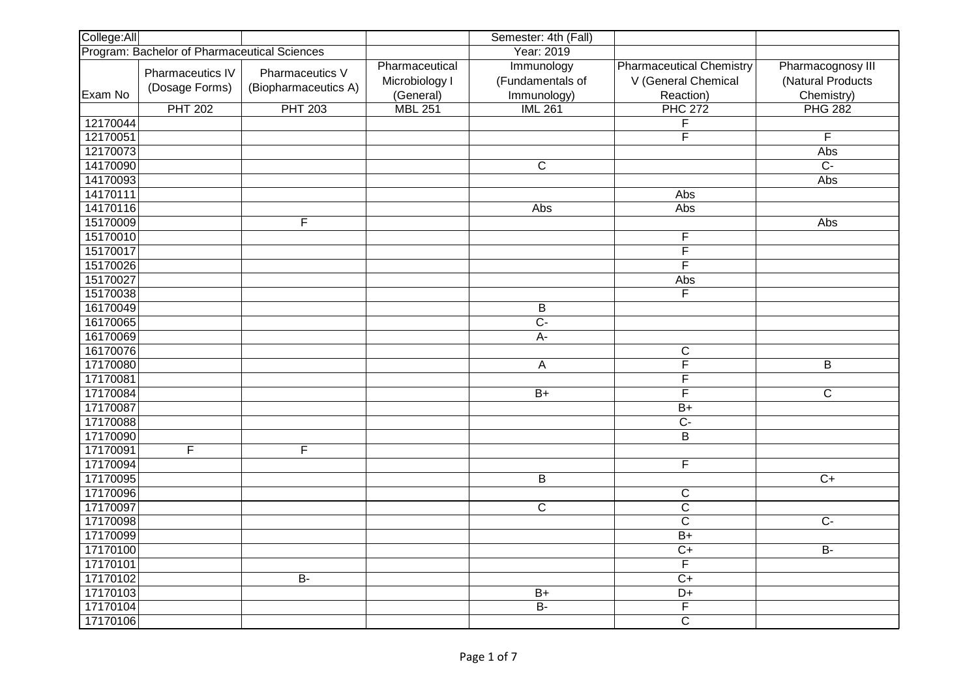| College:All |                                              |                                         |                                               | Semester: 4th (Fall)                          |                                                                     |                                                      |
|-------------|----------------------------------------------|-----------------------------------------|-----------------------------------------------|-----------------------------------------------|---------------------------------------------------------------------|------------------------------------------------------|
|             | Program: Bachelor of Pharmaceutical Sciences |                                         |                                               | Year: 2019                                    |                                                                     |                                                      |
| Exam No     | Pharmaceutics IV<br>(Dosage Forms)           | Pharmaceutics V<br>(Biopharmaceutics A) | Pharmaceutical<br>Microbiology I<br>(General) | Immunology<br>(Fundamentals of<br>Immunology) | <b>Pharmaceutical Chemistry</b><br>V (General Chemical<br>Reaction) | Pharmacognosy III<br>(Natural Products<br>Chemistry) |
|             | <b>PHT 202</b>                               | <b>PHT 203</b>                          | <b>MBL 251</b>                                | <b>IML 261</b>                                | <b>PHC 272</b>                                                      | <b>PHG 282</b>                                       |
| 12170044    |                                              |                                         |                                               |                                               | $\overline{\mathsf{F}}$                                             |                                                      |
| 12170051    |                                              |                                         |                                               |                                               | $\overline{\mathsf{F}}$                                             | F                                                    |
| 12170073    |                                              |                                         |                                               |                                               |                                                                     | Abs                                                  |
| 14170090    |                                              |                                         |                                               | $\overline{C}$                                |                                                                     | $\overline{C}$ -                                     |
| 14170093    |                                              |                                         |                                               |                                               |                                                                     | Abs                                                  |
| 14170111    |                                              |                                         |                                               |                                               | Abs                                                                 |                                                      |
| 14170116    |                                              |                                         |                                               | Abs                                           | Abs                                                                 |                                                      |
| 15170009    |                                              | F                                       |                                               |                                               |                                                                     | Abs                                                  |
| 15170010    |                                              |                                         |                                               |                                               | F                                                                   |                                                      |
| 15170017    |                                              |                                         |                                               |                                               | $\overline{\mathsf{F}}$                                             |                                                      |
| 15170026    |                                              |                                         |                                               |                                               | $\overline{F}$                                                      |                                                      |
| 15170027    |                                              |                                         |                                               |                                               | Abs                                                                 |                                                      |
| 15170038    |                                              |                                         |                                               |                                               | F                                                                   |                                                      |
| 16170049    |                                              |                                         |                                               | $\overline{B}$                                |                                                                     |                                                      |
| 16170065    |                                              |                                         |                                               | $\overline{C}$                                |                                                                     |                                                      |
| 16170069    |                                              |                                         |                                               | $A-$                                          |                                                                     |                                                      |
| 16170076    |                                              |                                         |                                               |                                               | $\mathsf C$                                                         |                                                      |
| 17170080    |                                              |                                         |                                               | A                                             | $\overline{\mathsf{F}}$                                             | $\overline{\mathsf{B}}$                              |
| 17170081    |                                              |                                         |                                               |                                               | F                                                                   |                                                      |
| 17170084    |                                              |                                         |                                               | $B+$                                          | $\overline{F}$                                                      | $\overline{\mathsf{C}}$                              |
| 17170087    |                                              |                                         |                                               |                                               | $\overline{B+}$                                                     |                                                      |
| 17170088    |                                              |                                         |                                               |                                               | $\overline{C}$                                                      |                                                      |
| 17170090    |                                              |                                         |                                               |                                               | $\overline{B}$                                                      |                                                      |
| 17170091    | F                                            | F                                       |                                               |                                               |                                                                     |                                                      |
| 17170094    |                                              |                                         |                                               |                                               | F                                                                   |                                                      |
| 17170095    |                                              |                                         |                                               | $\overline{B}$                                |                                                                     | $\overline{C+}$                                      |
| 17170096    |                                              |                                         |                                               |                                               | $\overline{\text{c}}$                                               |                                                      |
| 17170097    |                                              |                                         |                                               | $\overline{\mathsf{C}}$                       | $\overline{\text{c}}$                                               |                                                      |
| 17170098    |                                              |                                         |                                               |                                               | $\overline{\mathsf{C}}$                                             | $C -$                                                |
| 17170099    |                                              |                                         |                                               |                                               | $B+$                                                                |                                                      |
| 17170100    |                                              |                                         |                                               |                                               | $\overline{C+}$                                                     | $\overline{B}$                                       |
| 17170101    |                                              |                                         |                                               |                                               | $\overline{F}$                                                      |                                                      |
| 17170102    |                                              | $B -$                                   |                                               |                                               | $\overline{C}$                                                      |                                                      |
| 17170103    |                                              |                                         |                                               | $B+$                                          | $D+$                                                                |                                                      |
| 17170104    |                                              |                                         |                                               | $B -$                                         | $\overline{F}$                                                      |                                                      |
| 17170106    |                                              |                                         |                                               |                                               | $\overline{\text{c}}$                                               |                                                      |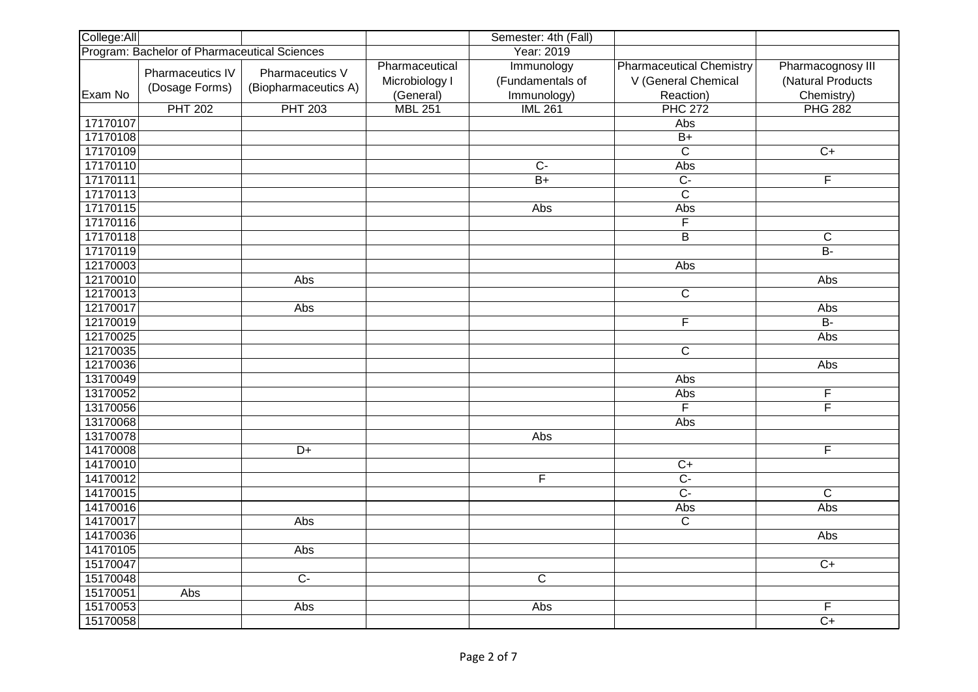| College:All |                                              |                                         |                                               | Semester: 4th (Fall)                          |                                                                     |                                                      |
|-------------|----------------------------------------------|-----------------------------------------|-----------------------------------------------|-----------------------------------------------|---------------------------------------------------------------------|------------------------------------------------------|
|             | Program: Bachelor of Pharmaceutical Sciences |                                         |                                               | Year: 2019                                    |                                                                     |                                                      |
| Exam No     | Pharmaceutics IV<br>(Dosage Forms)           | Pharmaceutics V<br>(Biopharmaceutics A) | Pharmaceutical<br>Microbiology I<br>(General) | Immunology<br>(Fundamentals of<br>Immunology) | <b>Pharmaceutical Chemistry</b><br>V (General Chemical<br>Reaction) | Pharmacognosy III<br>(Natural Products<br>Chemistry) |
|             | <b>PHT 202</b>                               | <b>PHT 203</b>                          | <b>MBL 251</b>                                | <b>IML 261</b>                                | <b>PHC 272</b>                                                      | <b>PHG 282</b>                                       |
| 17170107    |                                              |                                         |                                               |                                               | Abs                                                                 |                                                      |
| 17170108    |                                              |                                         |                                               |                                               | $\overline{B+}$                                                     |                                                      |
| 17170109    |                                              |                                         |                                               |                                               | $\overline{\text{c}}$                                               | $C+$                                                 |
| 17170110    |                                              |                                         |                                               | $\overline{C}$                                | Abs                                                                 |                                                      |
| 17170111    |                                              |                                         |                                               | $\overline{B+}$                               | $\overline{C}$                                                      | $\overline{\mathsf{F}}$                              |
| 17170113    |                                              |                                         |                                               |                                               | $\overline{\text{c}}$                                               |                                                      |
| 17170115    |                                              |                                         |                                               | Abs                                           | Abs                                                                 |                                                      |
| 17170116    |                                              |                                         |                                               |                                               | $\overline{F}$                                                      |                                                      |
| 17170118    |                                              |                                         |                                               |                                               | $\overline{B}$                                                      | $\mathsf C$                                          |
| 17170119    |                                              |                                         |                                               |                                               |                                                                     | $\overline{B}$                                       |
| 12170003    |                                              |                                         |                                               |                                               | Abs                                                                 |                                                      |
| 12170010    |                                              | Abs                                     |                                               |                                               |                                                                     | Abs                                                  |
| 12170013    |                                              |                                         |                                               |                                               | $\overline{\text{c}}$                                               |                                                      |
| 12170017    |                                              | Abs                                     |                                               |                                               |                                                                     | Abs                                                  |
| 12170019    |                                              |                                         |                                               |                                               | F                                                                   | $B -$                                                |
| 12170025    |                                              |                                         |                                               |                                               |                                                                     | Abs                                                  |
| 12170035    |                                              |                                         |                                               |                                               | $\mathsf C$                                                         |                                                      |
| 12170036    |                                              |                                         |                                               |                                               |                                                                     | Abs                                                  |
| 13170049    |                                              |                                         |                                               |                                               | Abs                                                                 |                                                      |
| 13170052    |                                              |                                         |                                               |                                               | Abs                                                                 | F                                                    |
| 13170056    |                                              |                                         |                                               |                                               | F                                                                   | F                                                    |
| 13170068    |                                              |                                         |                                               |                                               | Abs                                                                 |                                                      |
| 13170078    |                                              |                                         |                                               | Abs                                           |                                                                     |                                                      |
| 14170008    |                                              | $\overline{D+}$                         |                                               |                                               |                                                                     | F                                                    |
| 14170010    |                                              |                                         |                                               |                                               | $\overline{C+}$                                                     |                                                      |
| 14170012    |                                              |                                         |                                               | F                                             | $\overline{C}$                                                      |                                                      |
| 14170015    |                                              |                                         |                                               |                                               | $\overline{C}$                                                      | $\overline{C}$                                       |
| 14170016    |                                              |                                         |                                               |                                               | Abs                                                                 | Abs                                                  |
| 14170017    |                                              | Abs                                     |                                               |                                               | $\mathsf C$                                                         |                                                      |
| 14170036    |                                              |                                         |                                               |                                               |                                                                     | Abs                                                  |
| 14170105    |                                              | Abs                                     |                                               |                                               |                                                                     |                                                      |
| 15170047    |                                              |                                         |                                               |                                               |                                                                     | $C+$                                                 |
| 15170048    |                                              | $\overline{C}$                          |                                               | $\overline{C}$                                |                                                                     |                                                      |
| 15170051    | Abs                                          |                                         |                                               |                                               |                                                                     |                                                      |
| 15170053    |                                              | Abs                                     |                                               | Abs                                           |                                                                     | F                                                    |
| 15170058    |                                              |                                         |                                               |                                               |                                                                     | $\overline{C+}$                                      |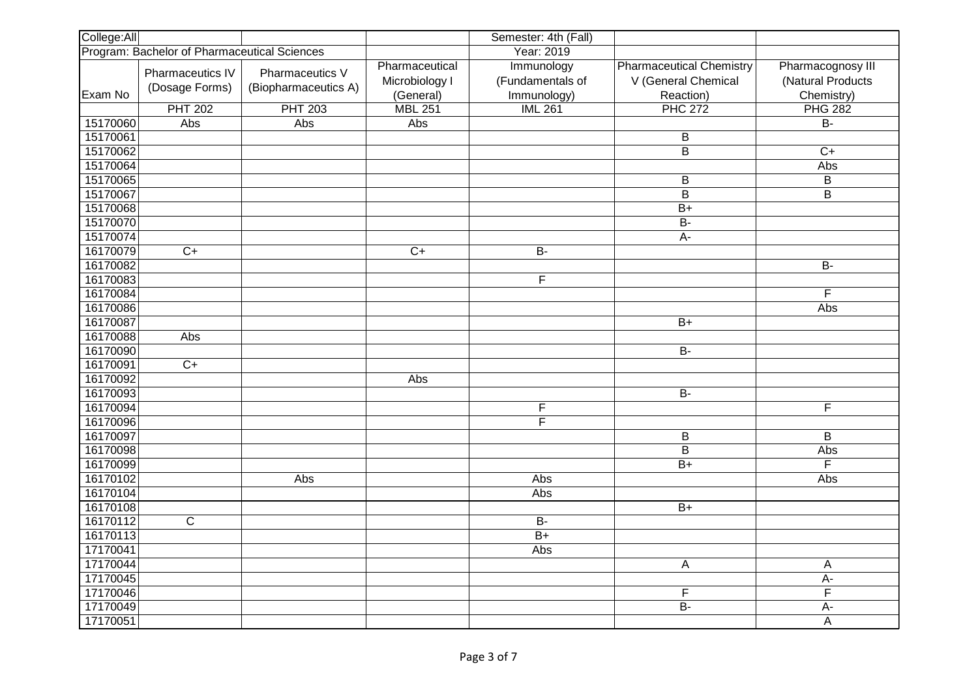| College:All |                                              |                      |                | Semester: 4th (Fall)    |                                 |                         |
|-------------|----------------------------------------------|----------------------|----------------|-------------------------|---------------------------------|-------------------------|
|             | Program: Bachelor of Pharmaceutical Sciences |                      |                | Year: 2019              |                                 |                         |
|             | Pharmaceutics IV                             | Pharmaceutics V      | Pharmaceutical | Immunology              | <b>Pharmaceutical Chemistry</b> | Pharmacognosy III       |
|             |                                              |                      | Microbiology I | (Fundamentals of        | V (General Chemical             | (Natural Products       |
| Exam No     | (Dosage Forms)                               | (Biopharmaceutics A) | (General)      | Immunology)             | Reaction)                       | Chemistry)              |
|             | <b>PHT 202</b>                               | <b>PHT 203</b>       | <b>MBL 251</b> | <b>IML 261</b>          | <b>PHC 272</b>                  | <b>PHG 282</b>          |
| 15170060    | Abs                                          | Abs                  | Abs            |                         |                                 | $\overline{B}$          |
| 15170061    |                                              |                      |                |                         | $\overline{\mathsf{B}}$         |                         |
| 15170062    |                                              |                      |                |                         | $\overline{B}$                  | $\overline{C}$          |
| 15170064    |                                              |                      |                |                         |                                 | Abs                     |
| 15170065    |                                              |                      |                |                         | В                               | $\overline{\mathsf{B}}$ |
| 15170067    |                                              |                      |                |                         | $\overline{B}$                  | B                       |
| 15170068    |                                              |                      |                |                         | $\overline{B+}$                 |                         |
| 15170070    |                                              |                      |                |                         | $B -$                           |                         |
| 15170074    |                                              |                      |                |                         | A-                              |                         |
| 16170079    | $\overline{C}$                               |                      | $\overline{C}$ | $B -$                   |                                 |                         |
| 16170082    |                                              |                      |                |                         |                                 | $\overline{B}$          |
| 16170083    |                                              |                      |                | F                       |                                 |                         |
| 16170084    |                                              |                      |                |                         |                                 | F                       |
| 16170086    |                                              |                      |                |                         |                                 | Abs                     |
| 16170087    |                                              |                      |                |                         | $\overline{B+}$                 |                         |
| 16170088    | Abs                                          |                      |                |                         |                                 |                         |
| 16170090    |                                              |                      |                |                         | <b>B-</b>                       |                         |
| 16170091    | $\overline{C}$                               |                      |                |                         |                                 |                         |
| 16170092    |                                              |                      | Abs            |                         |                                 |                         |
| 16170093    |                                              |                      |                |                         | $\overline{B}$                  |                         |
| 16170094    |                                              |                      |                | F                       |                                 | F                       |
| 16170096    |                                              |                      |                | $\overline{\mathsf{F}}$ |                                 |                         |
| 16170097    |                                              |                      |                |                         | B                               | B                       |
| 16170098    |                                              |                      |                |                         | $\overline{\mathsf{B}}$         | Abs                     |
| 16170099    |                                              |                      |                |                         | $\overline{B+}$                 | F                       |
| 16170102    |                                              | Abs                  |                | Abs                     |                                 | Abs                     |
| 16170104    |                                              |                      |                | Abs                     |                                 |                         |
| 16170108    |                                              |                      |                |                         | $\overline{B+}$                 |                         |
| 16170112    | $\mathsf C$                                  |                      |                | <b>B-</b>               |                                 |                         |
| 16170113    |                                              |                      |                | $\overline{B+}$         |                                 |                         |
| 17170041    |                                              |                      |                | Abs                     |                                 |                         |
| 17170044    |                                              |                      |                |                         | A                               | A                       |
| 17170045    |                                              |                      |                |                         |                                 | $A -$                   |
| 17170046    |                                              |                      |                |                         | F                               | $\overline{\mathsf{F}}$ |
| 17170049    |                                              |                      |                |                         | $\overline{B}$                  | $A -$                   |
| 17170051    |                                              |                      |                |                         |                                 | A                       |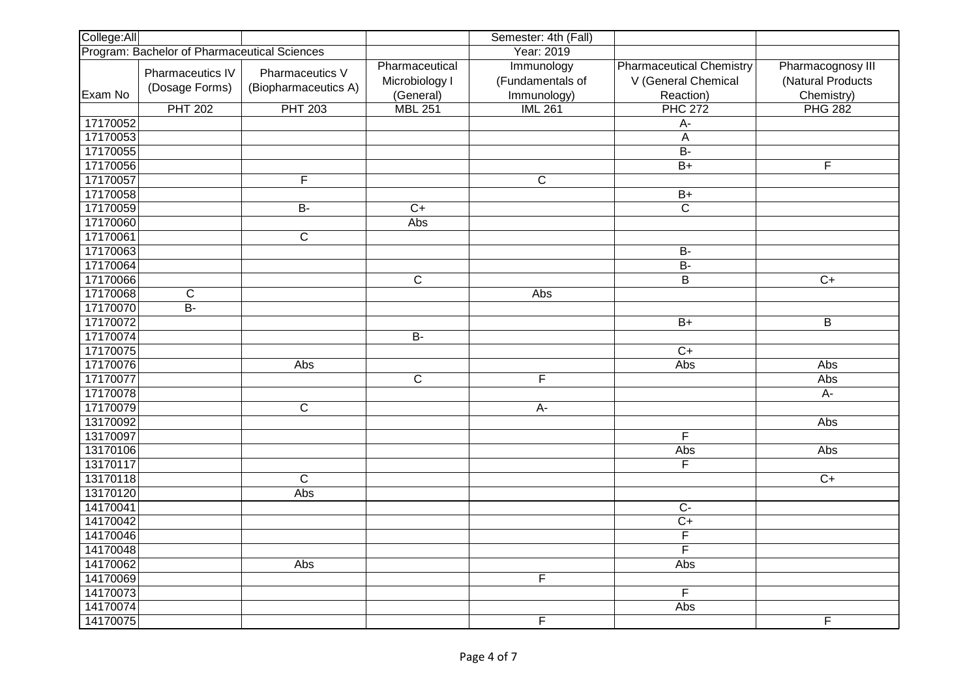| College:All                                  |                                    |                                         | Semester: 4th (Fall)                          |                                               |                                                                     |                                                      |
|----------------------------------------------|------------------------------------|-----------------------------------------|-----------------------------------------------|-----------------------------------------------|---------------------------------------------------------------------|------------------------------------------------------|
| Program: Bachelor of Pharmaceutical Sciences |                                    |                                         | Year: 2019                                    |                                               |                                                                     |                                                      |
| Exam No                                      | Pharmaceutics IV<br>(Dosage Forms) | Pharmaceutics V<br>(Biopharmaceutics A) | Pharmaceutical<br>Microbiology I<br>(General) | Immunology<br>(Fundamentals of<br>Immunology) | <b>Pharmaceutical Chemistry</b><br>V (General Chemical<br>Reaction) | Pharmacognosy III<br>(Natural Products<br>Chemistry) |
|                                              | <b>PHT 202</b>                     | <b>PHT 203</b>                          | <b>MBL 251</b>                                | <b>IML 261</b>                                | <b>PHC 272</b>                                                      | <b>PHG 282</b>                                       |
| 17170052                                     |                                    |                                         |                                               |                                               | $A -$                                                               |                                                      |
| 17170053                                     |                                    |                                         |                                               |                                               | $\overline{A}$                                                      |                                                      |
| 17170055                                     |                                    |                                         |                                               |                                               | <b>B-</b>                                                           |                                                      |
| 17170056                                     |                                    |                                         |                                               |                                               | $\overline{B+}$                                                     | F                                                    |
| 17170057                                     |                                    | $\overline{\mathsf{F}}$                 |                                               | $\overline{C}$                                |                                                                     |                                                      |
| 17170058                                     |                                    |                                         |                                               |                                               | $B+$                                                                |                                                      |
| 17170059                                     |                                    | $\overline{B}$                          | $\overline{C+}$                               |                                               | $\overline{C}$                                                      |                                                      |
| 17170060                                     |                                    |                                         | Abs                                           |                                               |                                                                     |                                                      |
| 17170061                                     |                                    | $\overline{\text{C}}$                   |                                               |                                               |                                                                     |                                                      |
| 17170063                                     |                                    |                                         |                                               |                                               | $B -$                                                               |                                                      |
| 17170064                                     |                                    |                                         |                                               |                                               | $\overline{B}$                                                      |                                                      |
| 17170066                                     |                                    |                                         | $\overline{C}$                                |                                               | B                                                                   | $\overline{C}$                                       |
| 17170068                                     | $\overline{C}$                     |                                         |                                               | Abs                                           |                                                                     |                                                      |
| 17170070                                     | $\overline{B}$                     |                                         |                                               |                                               |                                                                     |                                                      |
| 17170072                                     |                                    |                                         |                                               |                                               | $\overline{B+}$                                                     | $\overline{B}$                                       |
| 17170074                                     |                                    |                                         | $B -$                                         |                                               |                                                                     |                                                      |
| 17170075                                     |                                    |                                         |                                               |                                               | $C+$                                                                |                                                      |
| 17170076                                     |                                    | Abs                                     |                                               |                                               | Abs                                                                 | Abs                                                  |
| 17170077                                     |                                    |                                         | $\overline{\mathsf{c}}$                       | $\overline{\mathsf{F}}$                       |                                                                     | Abs                                                  |
| 17170078                                     |                                    |                                         |                                               |                                               |                                                                     | A-                                                   |
| 17170079                                     |                                    | $\overline{\text{C}}$                   |                                               | A-                                            |                                                                     |                                                      |
| 13170092                                     |                                    |                                         |                                               |                                               |                                                                     | Abs                                                  |
| 13170097                                     |                                    |                                         |                                               |                                               | $\overline{\mathsf{F}}$                                             |                                                      |
| 13170106                                     |                                    |                                         |                                               |                                               | Abs                                                                 | Abs                                                  |
| 13170117                                     |                                    |                                         |                                               |                                               | F                                                                   |                                                      |
| 13170118                                     |                                    | $\overline{C}$                          |                                               |                                               |                                                                     | $C+$                                                 |
| 13170120                                     |                                    | Abs                                     |                                               |                                               |                                                                     |                                                      |
| 14170041                                     |                                    |                                         |                                               |                                               | $\overline{C}$                                                      |                                                      |
| 14170042                                     |                                    |                                         |                                               |                                               | $C+$                                                                |                                                      |
| 14170046                                     |                                    |                                         |                                               |                                               | $\overline{\mathsf{F}}$                                             |                                                      |
| 14170048                                     |                                    |                                         |                                               |                                               | $\overline{\mathsf{F}}$                                             |                                                      |
| 14170062                                     |                                    | Abs                                     |                                               |                                               | Abs                                                                 |                                                      |
| 14170069                                     |                                    |                                         |                                               | F                                             |                                                                     |                                                      |
| 14170073                                     |                                    |                                         |                                               |                                               | F                                                                   |                                                      |
| 14170074                                     |                                    |                                         |                                               |                                               | Abs                                                                 |                                                      |
| 14170075                                     |                                    |                                         |                                               | $\overline{F}$                                |                                                                     | F                                                    |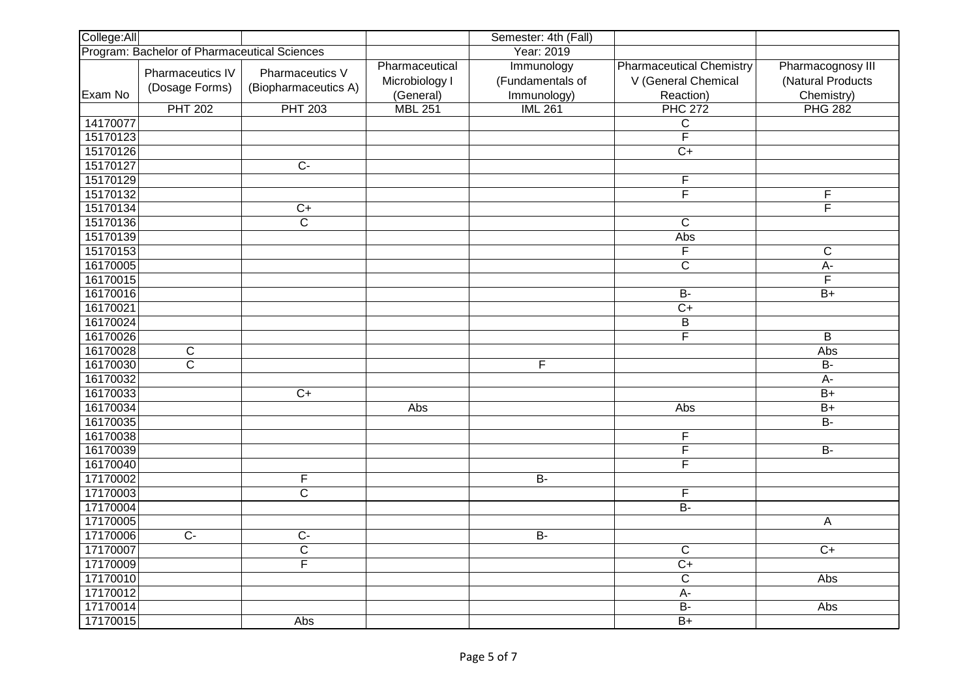| College:All                                  |                                    |                                         |                                               | Semester: 4th (Fall)                          |                                                                     |                                                      |
|----------------------------------------------|------------------------------------|-----------------------------------------|-----------------------------------------------|-----------------------------------------------|---------------------------------------------------------------------|------------------------------------------------------|
| Program: Bachelor of Pharmaceutical Sciences |                                    |                                         | Year: 2019                                    |                                               |                                                                     |                                                      |
| Exam No                                      | Pharmaceutics IV<br>(Dosage Forms) | Pharmaceutics V<br>(Biopharmaceutics A) | Pharmaceutical<br>Microbiology I<br>(General) | Immunology<br>(Fundamentals of<br>Immunology) | <b>Pharmaceutical Chemistry</b><br>V (General Chemical<br>Reaction) | Pharmacognosy III<br>(Natural Products<br>Chemistry) |
|                                              | <b>PHT 202</b>                     | <b>PHT 203</b>                          | <b>MBL 251</b>                                | <b>IML 261</b>                                | <b>PHC 272</b>                                                      | <b>PHG 282</b>                                       |
| 14170077                                     |                                    |                                         |                                               |                                               | $\overline{C}$                                                      |                                                      |
| 15170123                                     |                                    |                                         |                                               |                                               | $\overline{\mathsf{F}}$                                             |                                                      |
| 15170126                                     |                                    |                                         |                                               |                                               | $\overline{C}$                                                      |                                                      |
| 15170127                                     |                                    | $\overline{C}$                          |                                               |                                               |                                                                     |                                                      |
| 15170129                                     |                                    |                                         |                                               |                                               | F                                                                   |                                                      |
| 15170132                                     |                                    |                                         |                                               |                                               | F                                                                   | F                                                    |
| 15170134                                     |                                    | $C+$                                    |                                               |                                               |                                                                     | $\overline{\mathsf{F}}$                              |
| 15170136                                     |                                    | $\overline{C}$                          |                                               |                                               | $\mathsf{C}$                                                        |                                                      |
| 15170139                                     |                                    |                                         |                                               |                                               | Abs                                                                 |                                                      |
| 15170153                                     |                                    |                                         |                                               |                                               | $\overline{\mathsf{F}}$                                             | $\overline{C}$                                       |
| 16170005                                     |                                    |                                         |                                               |                                               | $\overline{c}$                                                      | A-                                                   |
| 16170015                                     |                                    |                                         |                                               |                                               |                                                                     | F                                                    |
| 16170016                                     |                                    |                                         |                                               |                                               | $B -$                                                               | $\overline{B+}$                                      |
| 16170021                                     |                                    |                                         |                                               |                                               | $\overline{C+}$                                                     |                                                      |
| 16170024                                     |                                    |                                         |                                               |                                               | $\overline{B}$                                                      |                                                      |
| 16170026                                     |                                    |                                         |                                               |                                               | F                                                                   | B                                                    |
| 16170028                                     | C                                  |                                         |                                               |                                               |                                                                     | Abs                                                  |
| 16170030                                     | $\overline{\text{C}}$              |                                         |                                               | $\mathsf F$                                   |                                                                     | $B -$                                                |
| 16170032                                     |                                    |                                         |                                               |                                               |                                                                     | $\overline{A}$ -                                     |
| 16170033                                     |                                    | $\overline{C+}$                         |                                               |                                               |                                                                     | $\overline{B+}$                                      |
| 16170034                                     |                                    |                                         | Abs                                           |                                               | Abs                                                                 | $B+$                                                 |
| 16170035                                     |                                    |                                         |                                               |                                               |                                                                     | $\overline{B}$                                       |
| 16170038                                     |                                    |                                         |                                               |                                               | $\overline{\mathsf{F}}$                                             |                                                      |
| 16170039                                     |                                    |                                         |                                               |                                               | F                                                                   | $B -$                                                |
| 16170040                                     |                                    |                                         |                                               |                                               | $\overline{\mathsf{F}}$                                             |                                                      |
| 17170002                                     |                                    | $\overline{\mathsf{F}}$                 |                                               | $B -$                                         |                                                                     |                                                      |
| 17170003                                     |                                    | $\overline{\text{c}}$                   |                                               |                                               | F                                                                   |                                                      |
| 17170004                                     |                                    |                                         |                                               |                                               | $\overline{B}$                                                      |                                                      |
| 17170005                                     |                                    |                                         |                                               |                                               |                                                                     | A                                                    |
| 17170006                                     | $\overline{C}$                     | $\overline{C}$                          |                                               | $B -$                                         |                                                                     |                                                      |
| 17170007                                     |                                    | $\overline{C}$                          |                                               |                                               | $\overline{\text{C}}$                                               | $\overline{C+}$                                      |
| 17170009                                     |                                    | $\overline{\mathsf{F}}$                 |                                               |                                               | $\overline{C}$                                                      |                                                      |
| 17170010                                     |                                    |                                         |                                               |                                               | $\overline{C}$                                                      | Abs                                                  |
| 17170012                                     |                                    |                                         |                                               |                                               | A-                                                                  |                                                      |
| 17170014                                     |                                    |                                         |                                               |                                               | $B -$                                                               | Abs                                                  |
| 17170015                                     |                                    | Abs                                     |                                               |                                               | $\overline{B+}$                                                     |                                                      |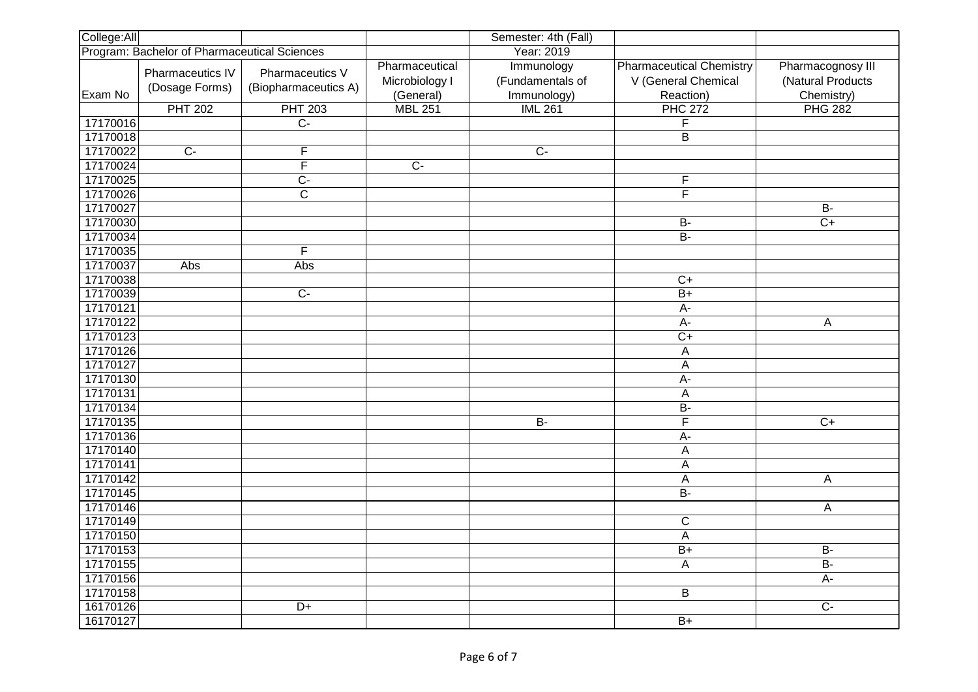| College:All                                  |                                    |                                         | Semester: 4th (Fall)                          |                                               |                                                                     |                                                      |
|----------------------------------------------|------------------------------------|-----------------------------------------|-----------------------------------------------|-----------------------------------------------|---------------------------------------------------------------------|------------------------------------------------------|
| Program: Bachelor of Pharmaceutical Sciences |                                    |                                         | Year: 2019                                    |                                               |                                                                     |                                                      |
| Exam No                                      | Pharmaceutics IV<br>(Dosage Forms) | Pharmaceutics V<br>(Biopharmaceutics A) | Pharmaceutical<br>Microbiology I<br>(General) | Immunology<br>(Fundamentals of<br>Immunology) | <b>Pharmaceutical Chemistry</b><br>V (General Chemical<br>Reaction) | Pharmacognosy III<br>(Natural Products<br>Chemistry) |
|                                              | <b>PHT 202</b>                     | <b>PHT 203</b>                          | <b>MBL 251</b>                                | <b>IML 261</b>                                | <b>PHC 272</b>                                                      | <b>PHG 282</b>                                       |
| 17170016                                     |                                    | $\overline{C}$                          |                                               |                                               | $\overline{\mathsf{F}}$                                             |                                                      |
| 17170018                                     |                                    |                                         |                                               |                                               | $\overline{B}$                                                      |                                                      |
| 17170022                                     | $\overline{C}$                     | $\overline{F}$                          |                                               | $\overline{C}$                                |                                                                     |                                                      |
| 17170024                                     |                                    | $\overline{\mathsf{F}}$                 | $\overline{C}$                                |                                               |                                                                     |                                                      |
| 17170025                                     |                                    | $\overline{C}$                          |                                               |                                               | F                                                                   |                                                      |
| 17170026                                     |                                    | $\overline{\text{C}}$                   |                                               |                                               | F                                                                   |                                                      |
| 17170027                                     |                                    |                                         |                                               |                                               |                                                                     | <b>B-</b>                                            |
| 17170030                                     |                                    |                                         |                                               |                                               | <b>B-</b>                                                           | $C+$                                                 |
| 17170034                                     |                                    |                                         |                                               |                                               | $B -$                                                               |                                                      |
| 17170035                                     |                                    | $\overline{\mathsf{F}}$                 |                                               |                                               |                                                                     |                                                      |
| 17170037                                     | Abs                                | Abs                                     |                                               |                                               |                                                                     |                                                      |
| 17170038                                     |                                    |                                         |                                               |                                               | $\overline{C}$                                                      |                                                      |
| 17170039                                     |                                    | $\overline{C}$                          |                                               |                                               | $\overline{B+}$                                                     |                                                      |
| 17170121                                     |                                    |                                         |                                               |                                               | A-                                                                  |                                                      |
| 17170122                                     |                                    |                                         |                                               |                                               | $\overline{A}$                                                      | A                                                    |
| 17170123                                     |                                    |                                         |                                               |                                               | $\overline{C}$                                                      |                                                      |
| 17170126                                     |                                    |                                         |                                               |                                               | A                                                                   |                                                      |
| 17170127                                     |                                    |                                         |                                               |                                               | A                                                                   |                                                      |
| 17170130                                     |                                    |                                         |                                               |                                               | $\overline{A}$                                                      |                                                      |
| 17170131                                     |                                    |                                         |                                               |                                               | A                                                                   |                                                      |
| 17170134                                     |                                    |                                         |                                               |                                               | <b>B-</b>                                                           |                                                      |
| 17170135                                     |                                    |                                         |                                               | $\overline{B}$                                | $\overline{\mathsf{F}}$                                             | $\overline{C+}$                                      |
| 17170136                                     |                                    |                                         |                                               |                                               | $A -$                                                               |                                                      |
| 17170140                                     |                                    |                                         |                                               |                                               | A                                                                   |                                                      |
| 17170141                                     |                                    |                                         |                                               |                                               | A                                                                   |                                                      |
| 17170142                                     |                                    |                                         |                                               |                                               | А                                                                   | A                                                    |
| 17170145                                     |                                    |                                         |                                               |                                               | $B -$                                                               |                                                      |
| 17170146                                     |                                    |                                         |                                               |                                               |                                                                     | A                                                    |
| 17170149                                     |                                    |                                         |                                               |                                               | $\overline{C}$                                                      |                                                      |
| 17170150                                     |                                    |                                         |                                               |                                               | А                                                                   |                                                      |
| 17170153                                     |                                    |                                         |                                               |                                               | $\overline{B+}$                                                     | $B -$                                                |
| 17170155                                     |                                    |                                         |                                               |                                               | A                                                                   | $B -$                                                |
| 17170156                                     |                                    |                                         |                                               |                                               |                                                                     | $\overline{A}$ -                                     |
| 17170158                                     |                                    |                                         |                                               |                                               | B                                                                   |                                                      |
| 16170126                                     |                                    | $D+$                                    |                                               |                                               |                                                                     | $\overline{C}$                                       |
| 16170127                                     |                                    |                                         |                                               |                                               | $\overline{B+}$                                                     |                                                      |